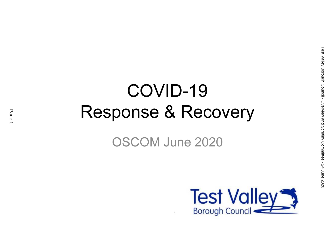# COVID-19 Response & Recovery

OSCOM June 2020

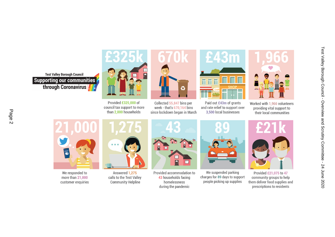**Test Valley Borough Council Supporting our communities** through Coronavirus



Provided £325,000 of council tax support to more than 2,000 households



Paid out £43m of grants and rate relief to support over 3,500 local businesses



Worked with 1,966 volunteers providing vital support to their local communities



We responded to more than 21,000 customer enquiries



Answered 1.275 calls to the Test Valley **Community Helpline** 



Collected 55,847 bins per

week - that's 670,164 bins

since lockdown began in March

Provided accommodation to 43 households facing homelessness during the pandemic



We suspended parking charges for 89 days to support people picking up supplies



Provided £21,075 to 47 community groups to help them deliver food supplies and prescriptions to residents

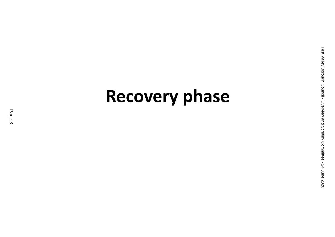# Recovery phase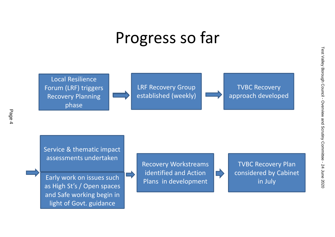### Progress so far



Page 4

Service & thematic impact assessments undertaken

Early work on issues such as High St's / Open spaces and Safe working begin in light of Govt. guidance



TVBC Recovery Plan considered by Cabinet in July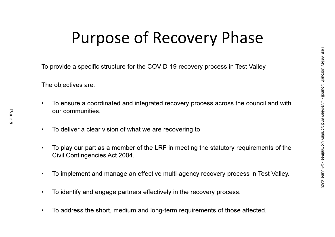## Purpose of Recovery Phase

To provide a specific structure for the COVID-19 recovery process in Test Valley

The objectives are:

- • To ensure a coordinated and integrated recovery process across the council and with our communities.
- •To deliver a clear vision of what we are recovering to
- • To play our part as a member of the LRF in meeting the statutory requirements of the Civil Contingencies Act 2004.
- •To implement and manage an effective multi-agency recovery process in Test Valley.
- $\bullet$ To identify and engage partners effectively in the recovery process.
- •To address the short, medium and long-term requirements of those affected.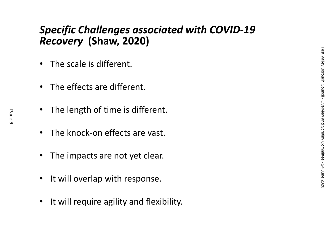#### Specific Challenges associated with COVID-19 Recovery (Shaw, 2020)

- •The scale is different.
- •The effects are different.
- $\bullet$ The length of time is different.
- •The knock-on effects are vast.
- •The impacts are not yet clear.
- •It will overlap with response.
- $\bullet$ It will require agility and flexibility.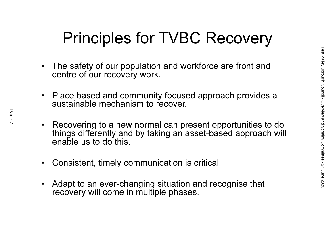## Principles for TVBC Recovery

- $\bullet$  The safety of our population and workforce are front and centre of our recovery work.
- $\bullet$  Place based and community focused approach provides a sustainable mechanism to recover.
- $\bullet$  Recovering to a new normal can present opportunities to do things differently and by taking an asset-based approach will enable us to do this.
- $\bullet$ Consistent, timely communication is critical
- $\bullet$  Adapt to an ever-changing situation and recognise that recovery will come in multiple phases.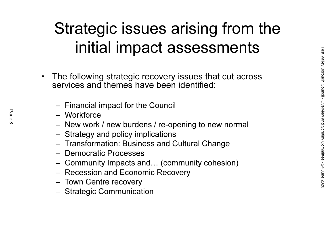## Strategic issues arising from the initial impact assessments

- • The following strategic recovery issues that cut across services and themes have been identified:
	- –Financial impact for the Council
	- Workforce
	- New worl New work / new burdens / re-opening to new normal
	- Strategy and policy implications
	- Transformation: Business and Cultural Change
	- Democratic Processes
	- –Community Impacts and… (community cohesion)
	- –Recession and Economic Recovery
	- –Town Centre recovery
	- Strategic Communics Strategic Communication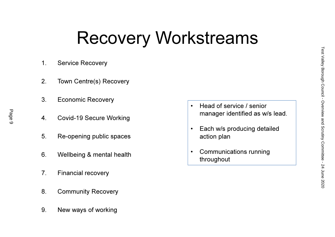# Recovery Workstreams

- 1. Service Recovery
- 2. Town Centre(s) Recovery
- 3. Economic Recovery
- 4. Covid-19 Secure Working
- 5. Re-opening public spaces
- 6. Wellbeing & mental health
- 7. Financial recovery
- 8. Community Recovery
- 9. New ways of working
- • Head of service / senior manager identified as w/s lead.
- $\bullet$  Each w/s producing detailed action plan
- • Communications running throughout